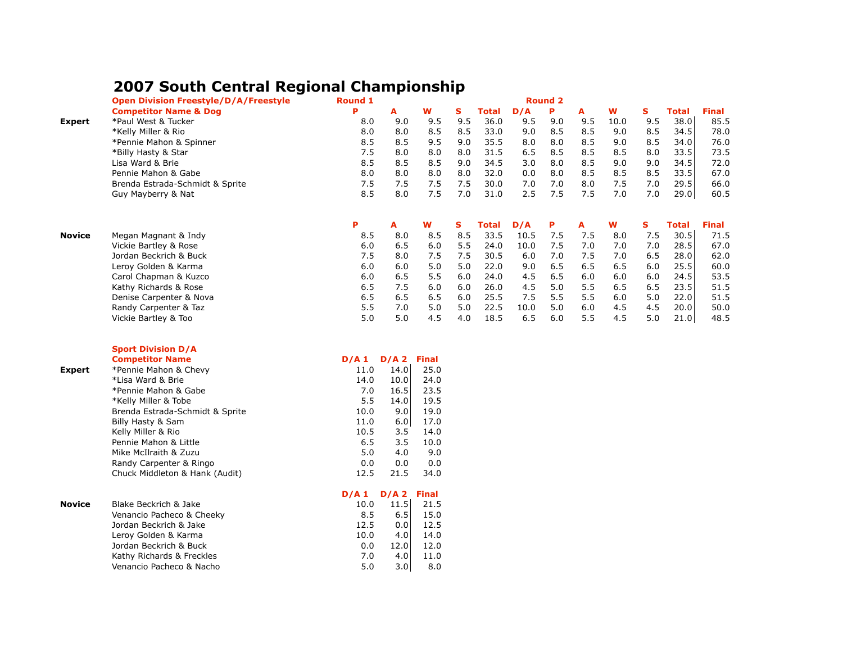## **2007 South Central Regional Championship**

|               | <b>Open Division Freestyle/D/A/Freestyle</b> | Round 1 |         | <b>Round 2</b> |     |       |      |     |     |      |     |              |              |
|---------------|----------------------------------------------|---------|---------|----------------|-----|-------|------|-----|-----|------|-----|--------------|--------------|
|               | <b>Competitor Name &amp; Dog</b>             | P       | A       | W              | s   | Total | D/A  | P   | A   | W    | S   | <b>Total</b> | <b>Final</b> |
| Expert        | *Paul West & Tucker                          | 8.0     | 9.0     | 9.5            | 9.5 | 36.0  | 9.5  | 9.0 | 9.5 | 10.0 | 9.5 | 38.0         | 85.5         |
|               | *Kelly Miller & Rio                          | 8.0     | 8.0     | 8.5            | 8.5 | 33.0  | 9.0  | 8.5 | 8.5 | 9.0  | 8.5 | 34.5         | 78.0         |
|               | *Pennie Mahon & Spinner                      | 8.5     | 8.5     | 9.5            | 9.0 | 35.5  | 8.0  | 8.0 | 8.5 | 9.0  | 8.5 | 34.0         | 76.0         |
|               | *Billy Hasty & Star                          | 7.5     | 8.0     | 8.0            | 8.0 | 31.5  | 6.5  | 8.5 | 8.5 | 8.5  | 8.0 | 33.5         | 73.5         |
|               | Lisa Ward & Brie                             | 8.5     | 8.5     | 8.5            | 9.0 | 34.5  | 3.0  | 8.0 | 8.5 | 9.0  | 9.0 | 34.5         | 72.0         |
|               | Pennie Mahon & Gabe                          | 8.0     | 8.0     | 8.0            | 8.0 | 32.0  | 0.0  | 8.0 | 8.5 | 8.5  | 8.5 | 33.5         | 67.0         |
|               | Brenda Estrada-Schmidt & Sprite              | 7.5     | 7.5     | 7.5            | 7.5 | 30.0  | 7.0  | 7.0 | 8.0 | 7.5  | 7.0 | 29.5         | 66.0         |
|               | Guy Mayberry & Nat                           | 8.5     | 8.0     | 7.5            | 7.0 | 31.0  | 2.5  | 7.5 | 7.5 | 7.0  | 7.0 | 29.0         | 60.5         |
|               |                                              | Ρ       | A       | W              | s   | Total | D/A  | Ρ   | A   | w    | s   | <b>Total</b> | <b>Final</b> |
| <b>Novice</b> | Megan Magnant & Indy                         | 8.5     | 8.0     | 8.5            | 8.5 | 33.5  | 10.5 | 7.5 | 7.5 | 8.0  | 7.5 | 30.5         | 71.5         |
|               | Vickie Bartley & Rose                        | 6.0     | 6.5     | 6.0            | 5.5 | 24.0  | 10.0 | 7.5 | 7.0 | 7.0  | 7.0 | 28.5         | 67.0         |
|               | Jordan Beckrich & Buck                       | 7.5     | 8.0     | 7.5            | 7.5 | 30.5  | 6.0  | 7.0 | 7.5 | 7.0  | 6.5 | 28.0         | 62.0         |
|               | Leroy Golden & Karma                         | 6.0     | 6.0     | 5.0            | 5.0 | 22.0  | 9.0  | 6.5 | 6.5 | 6.5  | 6.0 | 25.5         | 60.0         |
|               | Carol Chapman & Kuzco                        | 6.0     | 6.5     | 5.5            | 6.0 | 24.0  | 4.5  | 6.5 | 6.0 | 6.0  | 6.0 | 24.5         | 53.5         |
|               | Kathy Richards & Rose                        | 6.5     | 7.5     | 6.0            | 6.0 | 26.0  | 4.5  | 5.0 | 5.5 | 6.5  | 6.5 | 23.5         | 51.5         |
|               | Denise Carpenter & Nova                      | 6.5     | 6.5     | 6.5            | 6.0 | 25.5  | 7.5  | 5.5 | 5.5 | 6.0  | 5.0 | 22.0         | 51.5         |
|               | Randy Carpenter & Taz                        | 5.5     | 7.0     | 5.0            | 5.0 | 22.5  | 10.0 | 5.0 | 6.0 | 4.5  | 4.5 | 20.0         | 50.0         |
|               | Vickie Bartley & Too                         | 5.0     | 5.0     | 4.5            | 4.0 | 18.5  | 6.5  | 6.0 | 5.5 | 4.5  | 5.0 | 21.0         | 48.5         |
|               | <b>Sport Division D/A</b>                    |         |         |                |     |       |      |     |     |      |     |              |              |
|               | <b>Competitor Name</b>                       | D/A 1   | $D/A$ 2 | <b>Final</b>   |     |       |      |     |     |      |     |              |              |
| Expert        | *Pennie Mahon & Chevy                        | 11.0    | 14.0    | 25.0           |     |       |      |     |     |      |     |              |              |
|               | *Lisa Ward & Brie                            | 14.0    | 10.0    | 24.0           |     |       |      |     |     |      |     |              |              |
|               | *Pennie Mahon & Gabe                         | 7.0     | 16.5    | 23.5           |     |       |      |     |     |      |     |              |              |
|               | *Kelly Miller & Tobe                         | 5.5     | 14.0    | 19.5           |     |       |      |     |     |      |     |              |              |
|               | Brenda Estrada-Schmidt & Sprite              | 10.0    | 9.0     | 19.0           |     |       |      |     |     |      |     |              |              |
|               | Billy Hasty & Sam                            | 11.0    | 6.0     | 17.0           |     |       |      |     |     |      |     |              |              |
|               | Kelly Miller & Rio                           | 10.5    | 3.5     | 14.0           |     |       |      |     |     |      |     |              |              |
|               | Pennie Mahon & Little                        | 6.5     | 3.5     | 10.0           |     |       |      |     |     |      |     |              |              |
|               | Mike McIlraith & Zuzu                        | 5.0     | 4.0     | 9.0            |     |       |      |     |     |      |     |              |              |
|               | Randy Carpenter & Ringo                      | 0.0     | 0.0     | 0.0            |     |       |      |     |     |      |     |              |              |
|               | Chuck Middleton & Hank (Audit)               | 12.5    | 21.5    | 34.0           |     |       |      |     |     |      |     |              |              |
|               |                                              | D/A1    | $D/A$ 2 | <b>Final</b>   |     |       |      |     |     |      |     |              |              |
| <b>Novice</b> | Blake Beckrich & Jake                        | 10.0    | 11.5    | 21.5           |     |       |      |     |     |      |     |              |              |
|               | Venancio Pacheco & Cheeky                    | 8.5     | 6.5     | 15.0           |     |       |      |     |     |      |     |              |              |
|               | Jordan Beckrich & Jake                       | 12.5    | 0.0     | 12.5           |     |       |      |     |     |      |     |              |              |
|               | Leroy Golden & Karma                         | 10.0    | 4.0     | 14.0           |     |       |      |     |     |      |     |              |              |
|               | Jordan Beckrich & Buck                       | 0.0     | 12.0    | 12.0           |     |       |      |     |     |      |     |              |              |
|               | Kathy Richards & Freckles                    | 7.0     | 4.0     | 11.0           |     |       |      |     |     |      |     |              |              |
|               | Venancio Pacheco & Nacho                     | 5.0     | 3.0     | 8.0            |     |       |      |     |     |      |     |              |              |